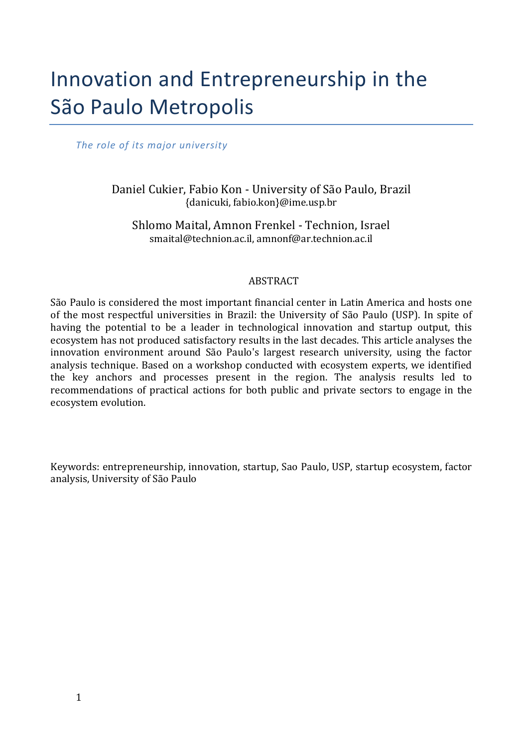# Innovation and Entrepreneurship in the São Paulo Metropolis

The role of its major university

## Daniel Cukier, Fabio Kon - University of São Paulo, Brazil {danicuki, fabio.kon}@ime.usp.br

Shlomo Maital, Amnon Frenkel - Technion, Israel smaital@technion.ac.il, amnonf@ar.technion.ac.il

## ABSTRACT

São Paulo is considered the most important financial center in Latin America and hosts one of the most respectful universities in Brazil: the University of São Paulo (USP). In spite of having the potential to be a leader in technological innovation and startup output, this ecosystem has not produced satisfactory results in the last decades. This article analyses the innovation environment around São Paulo's largest research university, using the factor analysis technique. Based on a workshop conducted with ecosystem experts, we identified the key anchors and processes present in the region. The analysis results led to recommendations of practical actions for both public and private sectors to engage in the ecosystem evolution.

Keywords: entrepreneurship, innovation, startup, Sao Paulo, USP, startup ecosystem, factor analysis, University of São Paulo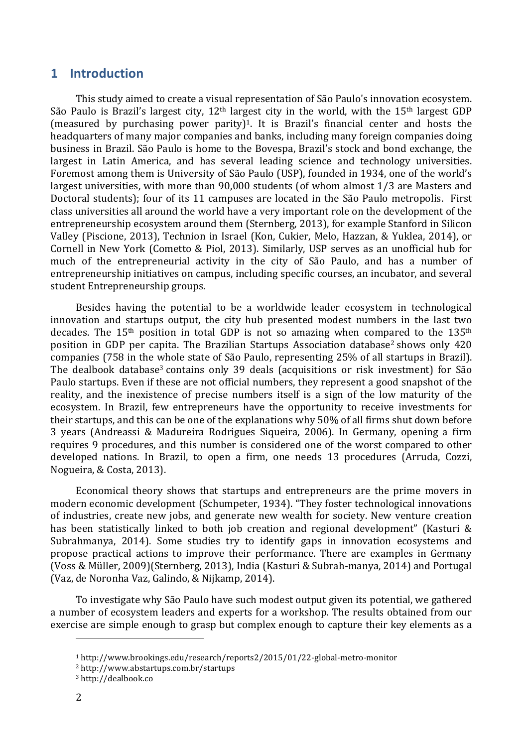## **1 Introduction**

This study aimed to create a visual representation of São Paulo's innovation ecosystem. São Paulo is Brazil's largest city,  $12<sup>th</sup>$  largest city in the world, with the  $15<sup>th</sup>$  largest GDP (measured by purchasing power parity)<sup>1</sup>. It is Brazil's financial center and hosts the headquarters of many major companies and banks, including many foreign companies doing business in Brazil. São Paulo is home to the Bovespa, Brazil's stock and bond exchange, the largest in Latin America, and has several leading science and technology universities. Foremost among them is University of São Paulo (USP), founded in 1934, one of the world's largest universities, with more than 90,000 students (of whom almost 1/3 are Masters and Doctoral students); four of its 11 campuses are located in the São Paulo metropolis. First class universities all around the world have a very important role on the development of the entrepreneurship ecosystem around them (Sternberg, 2013), for example Stanford in Silicon Valley (Piscione, 2013), Technion in Israel (Kon, Cukier, Melo, Hazzan, & Yuklea, 2014), or Cornell in New York (Cometto & Piol, 2013). Similarly, USP serves as an unofficial hub for much of the entrepreneurial activity in the city of São Paulo, and has a number of entrepreneurship initiatives on campus, including specific courses, an incubator, and several student Entrepreneurship groups.

Besides having the potential to be a worldwide leader ecosystem in technological innovation and startups output, the city hub presented modest numbers in the last two decades. The 15<sup>th</sup> position in total GDP is not so amazing when compared to the 135<sup>th</sup> position in GDP per capita. The Brazilian Startups Association database<sup>2</sup> shows only 420 companies (758 in the whole state of São Paulo, representing 25% of all startups in Brazil). The dealbook database<sup>3</sup> contains only 39 deals (acquisitions or risk investment) for São Paulo startups. Even if these are not official numbers, they represent a good snapshot of the reality, and the inexistence of precise numbers itself is a sign of the low maturity of the ecosystem. In Brazil, few entrepreneurs have the opportunity to receive investments for their startups, and this can be one of the explanations why 50% of all firms shut down before 3 years (Andreassi & Madureira Rodrigues Siqueira, 2006). In Germany, opening a firm requires 9 procedures, and this number is considered one of the worst compared to other developed nations. In Brazil, to open a firm, one needs 13 procedures (Arruda, Cozzi, Nogueira, & Costa, 2013).

Economical theory shows that startups and entrepreneurs are the prime movers in modern economic development (Schumpeter, 1934). "They foster technological innovations of industries, create new jobs, and generate new wealth for society. New venture creation has been statistically linked to both job creation and regional development" (Kasturi & Subrahmanya, 2014). Some studies try to identify gaps in innovation ecosystems and propose practical actions to improve their performance. There are examples in Germany (Voss & Müller, 2009)(Sternberg, 2013), India (Kasturi & Subrah-manya, 2014) and Portugal (Vaz, de Noronha Vaz, Galindo, & Nijkamp, 2014).

To investigate why São Paulo have such modest output given its potential, we gathered a number of ecosystem leaders and experts for a workshop. The results obtained from our exercise are simple enough to grasp but complex enough to capture their key elements as a

 

<sup>1</sup> http://www.brookings.edu/research/reports2/2015/01/22-global-metro-monitor

<sup>2</sup> http://www.abstartups.com.br/startups

<sup>3</sup> http://dealbook.co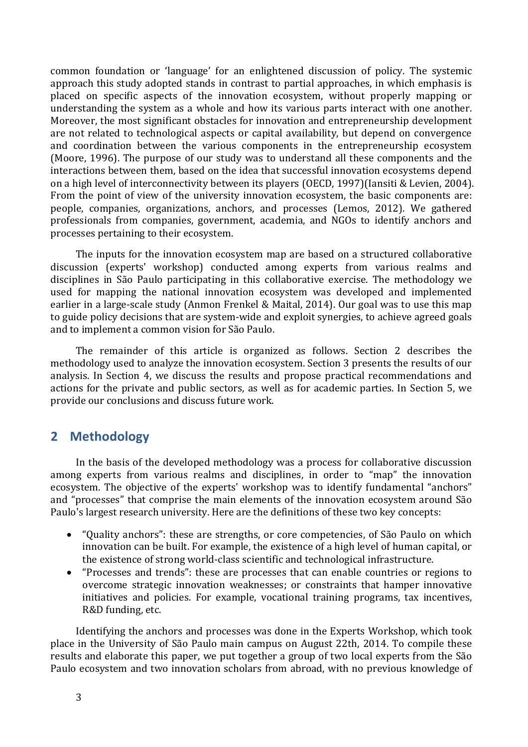common foundation or 'language' for an enlightened discussion of policy. The systemic approach this study adopted stands in contrast to partial approaches, in which emphasis is placed on specific aspects of the innovation ecosystem, without properly mapping or understanding the system as a whole and how its various parts interact with one another. Moreover, the most significant obstacles for innovation and entrepreneurship development are not related to technological aspects or capital availability, but depend on convergence and coordination between the various components in the entrepreneurship ecosystem (Moore, 1996). The purpose of our study was to understand all these components and the interactions between them, based on the idea that successful innovation ecosystems depend on a high level of interconnectivity between its players (OECD, 1997)(Iansiti & Levien, 2004). From the point of view of the university innovation ecosystem, the basic components are: people, companies, organizations, anchors, and processes (Lemos, 2012). We gathered professionals from companies, government, academia, and NGOs to identify anchors and processes pertaining to their ecosystem.

The inputs for the innovation ecosystem map are based on a structured collaborative discussion (experts' workshop) conducted among experts from various realms and disciplines in São Paulo participating in this collaborative exercise. The methodology we used for mapping the national innovation ecosystem was developed and implemented earlier in a large-scale study (Anmon Frenkel & Maital, 2014). Our goal was to use this map to guide policy decisions that are system-wide and exploit synergies, to achieve agreed goals and to implement a common vision for São Paulo.

The remainder of this article is organized as follows. Section 2 describes the methodology used to analyze the innovation ecosystem. Section 3 presents the results of our analysis. In Section 4, we discuss the results and propose practical recommendations and actions for the private and public sectors, as well as for academic parties. In Section 5, we provide our conclusions and discuss future work.

# **2 Methodology**

In the basis of the developed methodology was a process for collaborative discussion among experts from various realms and disciplines, in order to "map" the innovation ecosystem. The objective of the experts' workshop was to identify fundamental "anchors" and "processes" that comprise the main elements of the innovation ecosystem around São Paulo's largest research university. Here are the definitions of these two key concepts:

- "Quality anchors": these are strengths, or core competencies, of São Paulo on which innovation can be built. For example, the existence of a high level of human capital, or the existence of strong world-class scientific and technological infrastructure.
- "Processes and trends": these are processes that can enable countries or regions to overcome strategic innovation weaknesses; or constraints that hamper innovative initiatives and policies. For example, vocational training programs, tax incentives, R&D funding, etc.

Identifying the anchors and processes was done in the Experts Workshop, which took place in the University of São Paulo main campus on August 22th, 2014. To compile these results and elaborate this paper, we put together a group of two local experts from the São Paulo ecosystem and two innovation scholars from abroad, with no previous knowledge of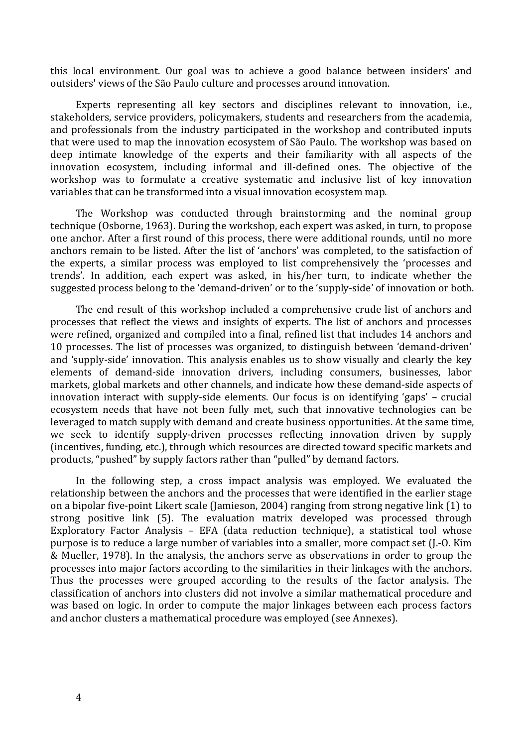this local environment. Our goal was to achieve a good balance between insiders' and outsiders' views of the São Paulo culture and processes around innovation.

Experts representing all key sectors and disciplines relevant to innovation, i.e., stakeholders, service providers, policymakers, students and researchers from the academia, and professionals from the industry participated in the workshop and contributed inputs that were used to map the innovation ecosystem of São Paulo. The workshop was based on deep intimate knowledge of the experts and their familiarity with all aspects of the innovation ecosystem, including informal and ill-defined ones. The objective of the workshop was to formulate a creative systematic and inclusive list of key innovation variables that can be transformed into a visual innovation ecosystem map.

The Workshop was conducted through brainstorming and the nominal group technique (Osborne, 1963). During the workshop, each expert was asked, in turn, to propose one anchor. After a first round of this process, there were additional rounds, until no more anchors remain to be listed. After the list of 'anchors' was completed, to the satisfaction of the experts, a similar process was employed to list comprehensively the 'processes and trends'. In addition, each expert was asked, in his/her turn, to indicate whether the suggested process belong to the 'demand-driven' or to the 'supply-side' of innovation or both.

The end result of this workshop included a comprehensive crude list of anchors and processes that reflect the views and insights of experts. The list of anchors and processes were refined, organized and compiled into a final, refined list that includes 14 anchors and 10 processes. The list of processes was organized, to distinguish between 'demand-driven' and 'supply-side' innovation. This analysis enables us to show visually and clearly the key elements of demand-side innovation drivers, including consumers, businesses, labor markets, global markets and other channels, and indicate how these demand-side aspects of innovation interact with supply-side elements. Our focus is on identifying 'gaps' – crucial ecosystem needs that have not been fully met, such that innovative technologies can be leveraged to match supply with demand and create business opportunities. At the same time, we seek to identify supply-driven processes reflecting innovation driven by supply (incentives, funding, etc.), through which resources are directed toward specific markets and products, "pushed" by supply factors rather than "pulled" by demand factors.

In the following step, a cross impact analysis was employed. We evaluated the relationship between the anchors and the processes that were identified in the earlier stage on a bipolar five-point Likert scale (Jamieson, 2004) ranging from strong negative link (1) to strong positive link (5). The evaluation matrix developed was processed through Exploratory Factor Analysis - EFA (data reduction technique), a statistical tool whose purpose is to reduce a large number of variables into a smaller, more compact set (J.-O. Kim & Mueller, 1978). In the analysis, the anchors serve as observations in order to group the processes into major factors according to the similarities in their linkages with the anchors. Thus the processes were grouped according to the results of the factor analysis. The classification of anchors into clusters did not involve a similar mathematical procedure and was based on logic. In order to compute the major linkages between each process factors and anchor clusters a mathematical procedure was employed (see Annexes).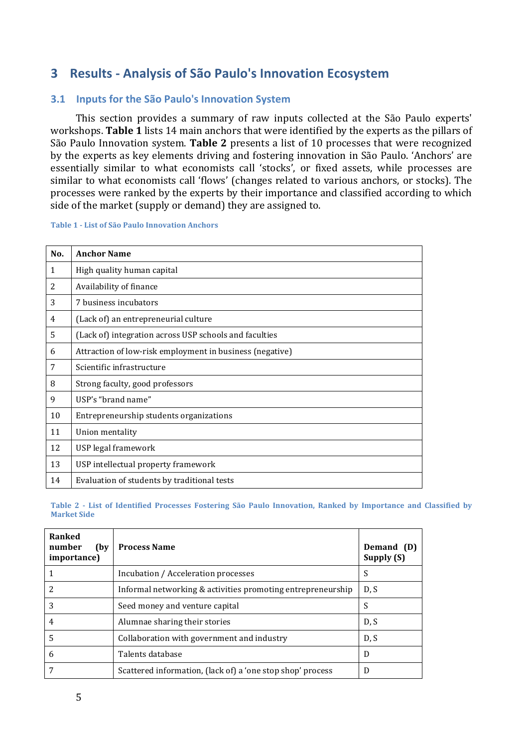# **3 Results - Analysis of São Paulo's Innovation Ecosystem**

## **3.1 Inputs for the São Paulo's Innovation System**

This section provides a summary of raw inputs collected at the São Paulo experts' workshops. Table 1 lists 14 main anchors that were identified by the experts as the pillars of São Paulo Innovation system. Table 2 presents a list of 10 processes that were recognized by the experts as key elements driving and fostering innovation in São Paulo. 'Anchors' are essentially similar to what economists call 'stocks', or fixed assets, while processes are similar to what economists call 'flows' (changes related to various anchors, or stocks). The processes were ranked by the experts by their importance and classified according to which side of the market (supply or demand) they are assigned to.

| No.            | <b>Anchor Name</b>                                       |
|----------------|----------------------------------------------------------|
| 1              | High quality human capital                               |
| $\overline{2}$ | Availability of finance                                  |
| 3              | 7 business incubators                                    |
| 4              | (Lack of) an entrepreneurial culture                     |
| 5              | (Lack of) integration across USP schools and faculties   |
| 6              | Attraction of low-risk employment in business (negative) |
| 7              | Scientific infrastructure                                |
| 8              | Strong faculty, good professors                          |
| 9              | USP's "brand name"                                       |
| 10             | Entrepreneurship students organizations                  |
| 11             | Union mentality                                          |
| 12             | USP legal framework                                      |
| 13             | USP intellectual property framework                      |
| 14             | Evaluation of students by traditional tests              |

#### **Table 1 - List of São Paulo Innovation Anchors**

**Table 2** - List of Identified Processes Fostering São Paulo Innovation, Ranked by Importance and Classified by **Market Side**

| Ranked<br>number<br>$(\mathbf{by})$<br><i>importance</i> ) | <b>Process Name</b>                                         | Demand (D)<br>Supply (S) |
|------------------------------------------------------------|-------------------------------------------------------------|--------------------------|
|                                                            | Incubation / Acceleration processes                         | S                        |
| 2                                                          | Informal networking & activities promoting entrepreneurship | D, S                     |
| 3                                                          | Seed money and venture capital                              | S                        |
| 4                                                          | Alumnae sharing their stories                               | D, S                     |
| 5                                                          | Collaboration with government and industry                  | D, S                     |
| 6                                                          | Talents database                                            | D                        |
|                                                            | Scattered information, (lack of) a 'one stop shop' process  |                          |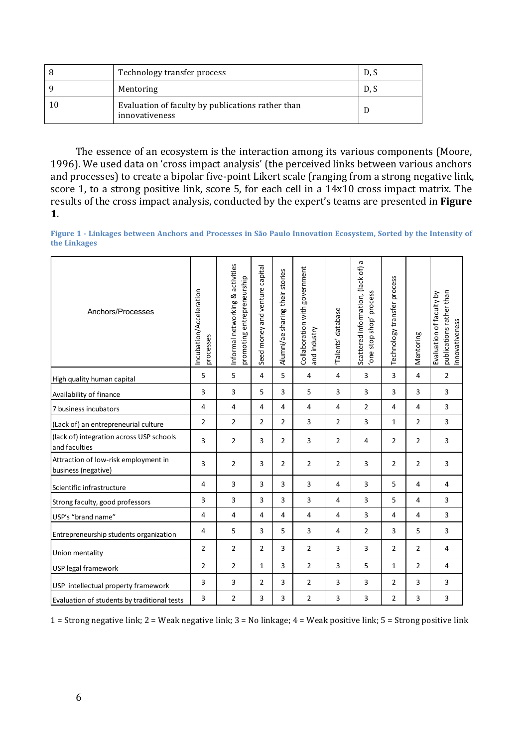| Technology transfer process                                         | D. S |
|---------------------------------------------------------------------|------|
| Mentoring                                                           | D, S |
| Evaluation of faculty by publications rather than<br>innovativeness |      |

The essence of an ecosystem is the interaction among its various components (Moore, 1996). We used data on 'cross impact analysis' (the perceived links between various anchors and processes) to create a bipolar five-point Likert scale (ranging from a strong negative link, score 1, to a strong positive link, score 5, for each cell in a  $14x10$  cross impact matrix. The results of the cross impact analysis, conducted by the expert's teams are presented in **Figure 1**. 

Figure 1 **-** Linkages between Anchors and Processes in São Paulo Innovation Ecosystem, Sorted by the Intensity of **the Linkages**

| Anchors/Processes                                           | Incubation/Acceleration<br>processes | Informal networking & activities<br>promoting entrepreneurship | Seed money and venture capital | Alumni/ae sharing their stories | Collaboration with government<br>and industry | 'Talents' database | Scattered information, (lack of) a<br>one stop shop' process | Technology transfer process | Mentoring      | publications rather than<br>innovativeness<br>Evaluation of faculty by |
|-------------------------------------------------------------|--------------------------------------|----------------------------------------------------------------|--------------------------------|---------------------------------|-----------------------------------------------|--------------------|--------------------------------------------------------------|-----------------------------|----------------|------------------------------------------------------------------------|
| High quality human capital                                  | 5                                    | 5                                                              | $\overline{4}$                 | 5                               | $\overline{4}$                                | $\overline{4}$     | 3                                                            | 3                           | 4              | $\overline{2}$                                                         |
| Availability of finance                                     | 3                                    | 3                                                              | 5                              | 3                               | 5                                             | 3                  | 3                                                            | 3                           | 3              | 3                                                                      |
| 7 business incubators                                       | 4                                    | 4                                                              | 4                              | 4                               | 4                                             | 4                  | $\overline{2}$                                               | 4                           | 4              | 3                                                                      |
| (Lack of) an entrepreneurial culture                        | $\overline{2}$                       | $\overline{2}$                                                 | $\overline{2}$                 | $\overline{2}$                  | 3                                             | $\overline{2}$     | 3                                                            | $\mathbf{1}$                | $\overline{2}$ | 3                                                                      |
| (lack of) integration across USP schools<br>and faculties   | 3                                    | $\overline{2}$                                                 | 3                              | $\overline{2}$                  | 3                                             | $\overline{2}$     | 4                                                            | $\overline{2}$              | $\overline{2}$ | 3                                                                      |
| Attraction of low-risk employment in<br>business (negative) | 3                                    | $\overline{2}$                                                 | 3                              | $\overline{2}$                  | $\overline{2}$                                | $\overline{2}$     | 3                                                            | $\overline{2}$              | $\overline{2}$ | 3                                                                      |
| Scientific infrastructure                                   | 4                                    | 3                                                              | 3                              | 3                               | 3                                             | 4                  | 3                                                            | 5                           | 4              | 4                                                                      |
| Strong faculty, good professors                             | 3                                    | 3                                                              | 3                              | 3                               | 3                                             | $\overline{4}$     | 3                                                            | 5                           | 4              | 3                                                                      |
| USP's "brand name"                                          | 4                                    | 4                                                              | 4                              | 4                               | 4                                             | 4                  | 3                                                            | 4                           | 4              | 3                                                                      |
| Entrepreneurship students organization                      | 4                                    | 5                                                              | 3                              | 5                               | $\overline{3}$                                | 4                  | $\overline{2}$                                               | 3                           | 5              | 3                                                                      |
| Union mentality                                             | 2                                    | $\overline{2}$                                                 | $\overline{2}$                 | 3                               | $\overline{2}$                                | 3                  | 3                                                            | $\overline{2}$              | $\overline{2}$ | 4                                                                      |
| USP legal framework                                         | $\overline{2}$                       | $\overline{2}$                                                 | $\mathbf{1}$                   | 3                               | $\overline{2}$                                | 3                  | 5                                                            | $\mathbf{1}$                | 2              | 4                                                                      |
| USP intellectual property framework                         | 3                                    | 3                                                              | $\overline{2}$                 | 3                               | $\overline{2}$                                | 3                  | 3                                                            | $\overline{2}$              | 3              | 3                                                                      |
| Evaluation of students by traditional tests                 | 3                                    | $\overline{2}$                                                 | 3                              | 3                               | $\overline{2}$                                | 3                  | 3                                                            | $\overline{2}$              | 3              | 3                                                                      |

 $1$  = Strong negative link;  $2$  = Weak negative link;  $3$  = No linkage;  $4$  = Weak positive link;  $5$  = Strong positive link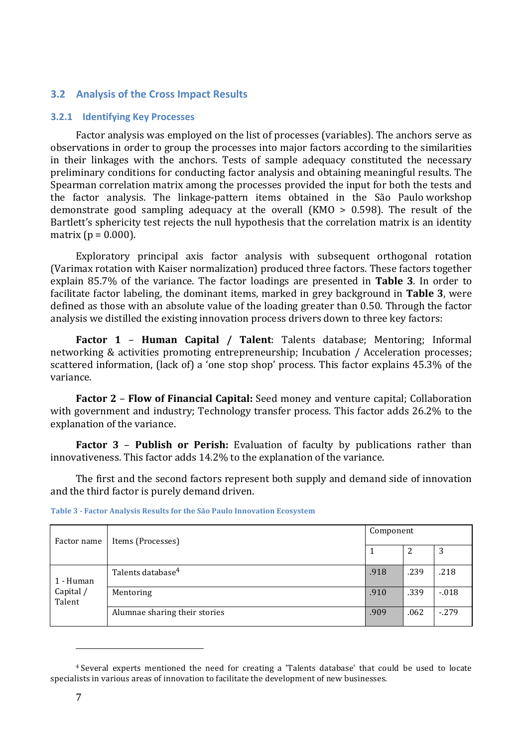## **3.2 Analysis of the Cross Impact Results**

#### **3.2.1 Identifying Key Processes**

Factor analysis was employed on the list of processes (variables). The anchors serve as observations in order to group the processes into major factors according to the similarities in their linkages with the anchors. Tests of sample adequacy constituted the necessary preliminary conditions for conducting factor analysis and obtaining meaningful results. The Spearman correlation matrix among the processes provided the input for both the tests and the factor analysis. The linkage-pattern items obtained in the São Paulo workshop demonstrate good sampling adequacy at the overall  $(KMO > 0.598)$ . The result of the Bartlett's sphericity test rejects the null hypothesis that the correlation matrix is an identity matrix ( $p = 0.000$ ).

Exploratory principal axis factor analysis with subsequent orthogonal rotation (Varimax rotation with Kaiser normalization) produced three factors. These factors together explain 85.7% of the variance. The factor loadings are presented in Table 3. In order to facilitate factor labeling, the dominant items, marked in grey background in **Table** 3, were defined as those with an absolute value of the loading greater than 0.50. Through the factor analysis we distilled the existing innovation process drivers down to three key factors:

**Factor 1 - Human Capital / Talent:** Talents database; Mentoring; Informal networking & activities promoting entrepreneurship; Incubation / Acceleration processes; scattered information, (lack of) a 'one stop shop' process. This factor explains 45.3% of the variance.

**Factor 2 - Flow of Financial Capital:** Seed money and venture capital; Collaboration with government and industry; Technology transfer process. This factor adds 26.2% to the explanation of the variance.

**Factor 3** – **Publish or Perish:** Evaluation of faculty by publications rather than innovativeness. This factor adds 14.2% to the explanation of the variance.

The first and the second factors represent both supply and demand side of innovation and the third factor is purely demand driven.

|  |  |  |  | Table 3 - Factor Analysis Results for the São Paulo Innovation Ecosystem |  |
|--|--|--|--|--------------------------------------------------------------------------|--|
|--|--|--|--|--------------------------------------------------------------------------|--|

 

| Factor name         | Items (Processes)             | Component |      |        |  |
|---------------------|-------------------------------|-----------|------|--------|--|
|                     |                               |           | 2    | 3      |  |
| 1 - Human           | Talents database <sup>4</sup> | .918      | .239 | .218   |  |
| Capital /<br>Talent | Mentoring                     | .910      | .339 | $-018$ |  |
|                     | Alumnae sharing their stories | .909      | .062 | $-279$ |  |

<sup>&</sup>lt;sup>4</sup> Several experts mentioned the need for creating a 'Talents database' that could be used to locate specialists in various areas of innovation to facilitate the development of new businesses.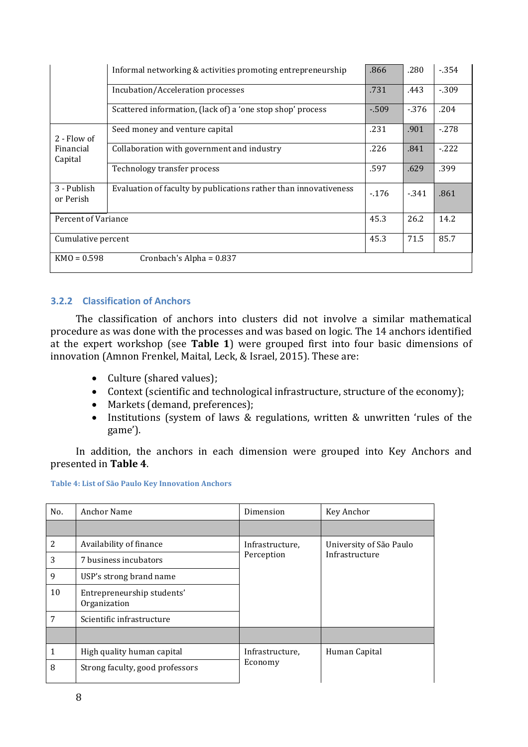|                          | Informal networking & activities promoting entrepreneurship      | .866    | .280   | $-354$ |  |
|--------------------------|------------------------------------------------------------------|---------|--------|--------|--|
|                          | Incubation/Acceleration processes                                | .731    | .443   | $-309$ |  |
|                          | Scattered information, (lack of) a 'one stop shop' process       | $-.509$ | $-376$ | .204   |  |
| 2 - Flow of              | Seed money and venture capital                                   | .231    | .901   | $-278$ |  |
| Financial<br>Capital     | Collaboration with government and industry                       | .226    | .841   | $-222$ |  |
|                          | Technology transfer process                                      | .597    | .629   | .399   |  |
| 3 - Publish<br>or Perish | Evaluation of faculty by publications rather than innovativeness | $-176$  | $-341$ | .861   |  |
| Percent of Variance      |                                                                  | 45.3    | 26.2   | 14.2   |  |
| Cumulative percent       |                                                                  | 45.3    | 71.5   | 85.7   |  |
| $KMO = 0.598$            | Cronbach's Alpha = 0.837                                         |         |        |        |  |

## **3.2.2 Classification of Anchors**

The classification of anchors into clusters did not involve a similar mathematical procedure as was done with the processes and was based on logic. The 14 anchors identified at the expert workshop (see Table 1) were grouped first into four basic dimensions of innovation (Amnon Frenkel, Maital, Leck, & Israel, 2015). These are:

- Culture (shared values);
- Context (scientific and technological infrastructure, structure of the economy);
- Markets (demand, preferences);
- Institutions (system of laws & regulations, written & unwritten 'rules of the game').

In addition, the anchors in each dimension were grouped into Key Anchors and presented in Table 4.

#### **Table 4: List of São Paulo Key Innovation Anchors**

| No.            | Anchor Name                                | Dimension       | Key Anchor              |
|----------------|--------------------------------------------|-----------------|-------------------------|
|                |                                            |                 |                         |
| $\overline{2}$ | Availability of finance                    | Infrastructure, | University of São Paulo |
| 3              | 7 business incubators                      | Perception      | Infrastructure          |
| 9              | USP's strong brand name                    |                 |                         |
| 10             | Entrepreneurship students'<br>Organization |                 |                         |
| 7              | Scientific infrastructure                  |                 |                         |
|                |                                            |                 |                         |
| 1              | High quality human capital                 | Infrastructure, | Human Capital           |
| 8              | Strong faculty, good professors            | Economy         |                         |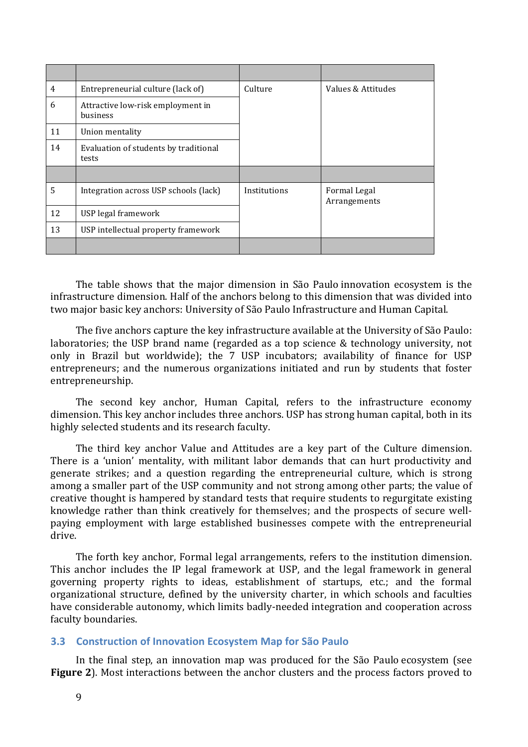| $\overline{4}$ | Entrepreneurial culture (lack of)                    | Culture      | Values & Attitudes           |
|----------------|------------------------------------------------------|--------------|------------------------------|
| 6              | Attractive low-risk employment in<br><b>business</b> |              |                              |
| 11             | Union mentality                                      |              |                              |
| 14             | Evaluation of students by traditional<br>tests       |              |                              |
|                |                                                      |              |                              |
| 5              | Integration across USP schools (lack)                | Institutions | Formal Legal<br>Arrangements |
| 12             | USP legal framework                                  |              |                              |
| 13             | USP intellectual property framework                  |              |                              |
|                |                                                      |              |                              |

The table shows that the major dimension in São Paulo innovation ecosystem is the infrastructure dimension. Half of the anchors belong to this dimension that was divided into two major basic key anchors: University of São Paulo Infrastructure and Human Capital.

The five anchors capture the key infrastructure available at the University of São Paulo: laboratories; the USP brand name (regarded as a top science  $&$  technology university, not only in Brazil but worldwide); the 7 USP incubators; availability of finance for USP entrepreneurs; and the numerous organizations initiated and run by students that foster entrepreneurship.

The second key anchor, Human Capital, refers to the infrastructure economy dimension. This key anchor includes three anchors. USP has strong human capital, both in its highly selected students and its research faculty.

The third key anchor Value and Attitudes are a key part of the Culture dimension. There is a 'union' mentality, with militant labor demands that can hurt productivity and generate strikes; and a question regarding the entrepreneurial culture, which is strong among a smaller part of the USP community and not strong among other parts; the value of creative thought is hampered by standard tests that require students to regurgitate existing knowledge rather than think creatively for themselves; and the prospects of secure wellpaying employment with large established businesses compete with the entrepreneurial drive.

The forth key anchor, Formal legal arrangements, refers to the institution dimension. This anchor includes the IP legal framework at USP, and the legal framework in general governing property rights to ideas, establishment of startups, etc.; and the formal organizational structure, defined by the university charter, in which schools and faculties have considerable autonomy, which limits badly-needed integration and cooperation across faculty boundaries.

## **3.3 Construction of Innovation Ecosystem Map for São Paulo**

In the final step, an innovation map was produced for the São Paulo ecosystem (see **Figure 2**). Most interactions between the anchor clusters and the process factors proved to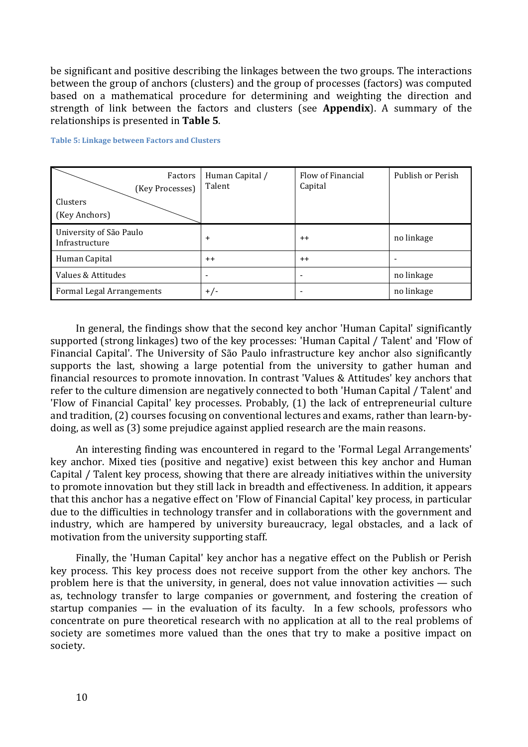be significant and positive describing the linkages between the two groups. The interactions between the group of anchors (clusters) and the group of processes (factors) was computed based on a mathematical procedure for determining and weighting the direction and strength of link between the factors and clusters (see **Appendix**). A summary of the relationships is presented in **Table 5**.

| Factors<br>(Key Processes)<br>Clusters<br>(Key Anchors) | Human Capital /<br>Talent | Flow of Financial<br>Capital | Publish or Perish |
|---------------------------------------------------------|---------------------------|------------------------------|-------------------|
| University of São Paulo<br>Infrastructure               | $\ddot{}$                 | $++$                         | no linkage        |
| Human Capital                                           | $++$                      | $++$                         | -                 |
| Values & Attitudes                                      | $\overline{\phantom{0}}$  | $\overline{\phantom{a}}$     | no linkage        |
| <b>Formal Legal Arrangements</b>                        | $+/-$                     | -                            | no linkage        |

#### **Table 5: Linkage between Factors and Clusters**

In general, the findings show that the second key anchor 'Human Capital' significantly supported (strong linkages) two of the key processes: 'Human Capital / Talent' and 'Flow of Financial Capital'. The University of São Paulo infrastructure key anchor also significantly supports the last, showing a large potential from the university to gather human and financial resources to promote innovation. In contrast 'Values & Attitudes' key anchors that refer to the culture dimension are negatively connected to both 'Human Capital / Talent' and 'Flow of Financial Capital' key processes. Probably, (1) the lack of entrepreneurial culture and tradition, (2) courses focusing on conventional lectures and exams, rather than learn-bydoing, as well as (3) some prejudice against applied research are the main reasons.

An interesting finding was encountered in regard to the 'Formal Legal Arrangements' key anchor. Mixed ties (positive and negative) exist between this key anchor and Human Capital / Talent key process, showing that there are already initiatives within the university to promote innovation but they still lack in breadth and effectiveness. In addition, it appears that this anchor has a negative effect on 'Flow of Financial Capital' key process, in particular due to the difficulties in technology transfer and in collaborations with the government and industry, which are hampered by university bureaucracy, legal obstacles, and a lack of motivation from the university supporting staff.

Finally, the 'Human Capital' key anchor has a negative effect on the Publish or Perish key process. This key process does not receive support from the other key anchors. The problem here is that the university, in general, does not value innovation activities  $-$  such as, technology transfer to large companies or government, and fostering the creation of startup companies  $-$  in the evaluation of its faculty. In a few schools, professors who concentrate on pure theoretical research with no application at all to the real problems of society are sometimes more valued than the ones that try to make a positive impact on society.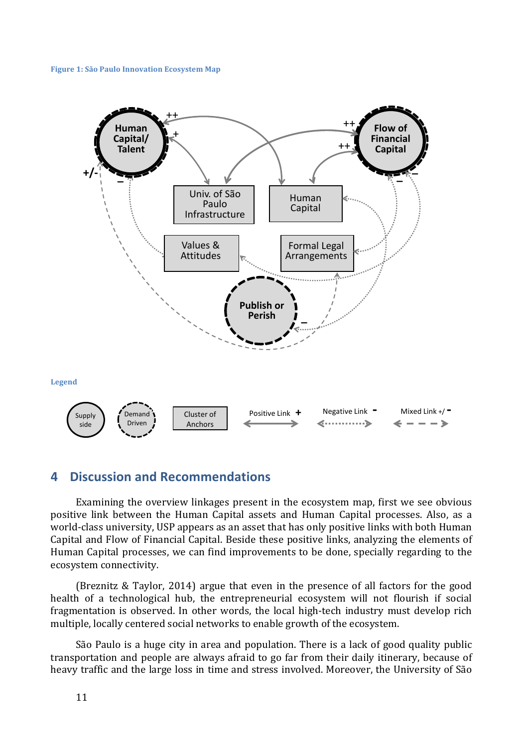



## **4 Discussion and Recommendations**

Examining the overview linkages present in the ecosystem map, first we see obvious positive link between the Human Capital assets and Human Capital processes. Also, as a world-class university, USP appears as an asset that has only positive links with both Human Capital and Flow of Financial Capital. Beside these positive links, analyzing the elements of Human Capital processes, we can find improvements to be done, specially regarding to the ecosystem connectivity.

(Breznitz & Taylor, 2014) argue that even in the presence of all factors for the good health of a technological hub, the entrepreneurial ecosystem will not flourish if social fragmentation is observed. In other words, the local high-tech industry must develop rich multiple, locally centered social networks to enable growth of the ecosystem.

São Paulo is a huge city in area and population. There is a lack of good quality public transportation and people are always afraid to go far from their daily itinerary, because of heavy traffic and the large loss in time and stress involved. Moreover, the University of São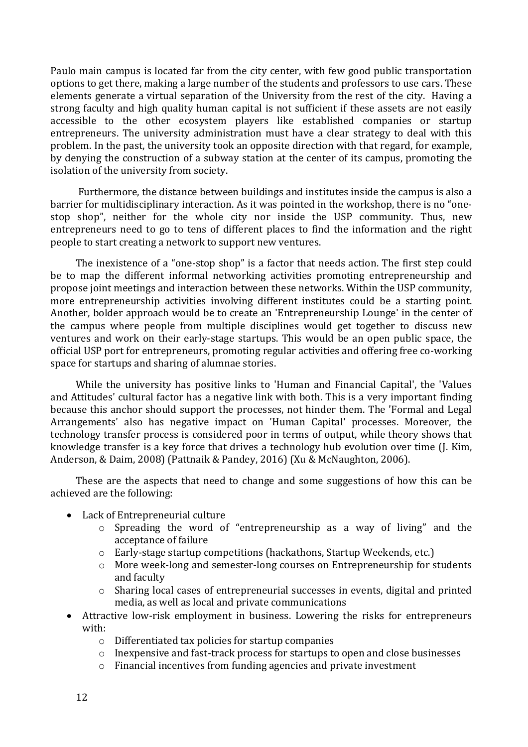Paulo main campus is located far from the city center, with few good public transportation options to get there, making a large number of the students and professors to use cars. These elements generate a virtual separation of the University from the rest of the city. Having a strong faculty and high quality human capital is not sufficient if these assets are not easily accessible to the other ecosystem players like established companies or startup entrepreneurs. The university administration must have a clear strategy to deal with this problem. In the past, the university took an opposite direction with that regard, for example, by denying the construction of a subway station at the center of its campus, promoting the isolation of the university from society.

Furthermore, the distance between buildings and institutes inside the campus is also a barrier for multidisciplinary interaction. As it was pointed in the workshop, there is no "onestop shop", neither for the whole city nor inside the USP community. Thus, new entrepreneurs need to go to tens of different places to find the information and the right people to start creating a network to support new ventures.

The inexistence of a "one-stop shop" is a factor that needs action. The first step could be to map the different informal networking activities promoting entrepreneurship and propose ioint meetings and interaction between these networks. Within the USP community, more entrepreneurship activities involving different institutes could be a starting point. Another, bolder approach would be to create an 'Entrepreneurship Lounge' in the center of the campus where people from multiple disciplines would get together to discuss new ventures and work on their early-stage startups. This would be an open public space, the official USP port for entrepreneurs, promoting regular activities and offering free co-working space for startups and sharing of alumnae stories.

While the university has positive links to 'Human and Financial Capital', the 'Values and Attitudes' cultural factor has a negative link with both. This is a very important finding because this anchor should support the processes, not hinder them. The 'Formal and Legal Arrangements' also has negative impact on 'Human Capital' processes. Moreover, the technology transfer process is considered poor in terms of output, while theory shows that knowledge transfer is a key force that drives a technology hub evolution over time (J. Kim, Anderson, & Daim, 2008) (Pattnaik & Pandey, 2016) (Xu & McNaughton, 2006).

These are the aspects that need to change and some suggestions of how this can be achieved are the following:

- Lack of Entrepreneurial culture
	- o Spreading the word of "entrepreneurship as a way of living" and the acceptance of failure
	- $\circ$  Early-stage startup competitions (hackathons, Startup Weekends, etc.)
	- $\circ$  More week-long and semester-long courses on Entrepreneurship for students and faculty
	- $\circ$  Sharing local cases of entrepreneurial successes in events, digital and printed media, as well as local and private communications
- Attractive low-risk employment in business. Lowering the risks for entrepreneurs with:
	- $\circ$  Differentiated tax policies for startup companies
	- $\circ$  Inexpensive and fast-track process for startups to open and close businesses
	- $\circ$  Financial incentives from funding agencies and private investment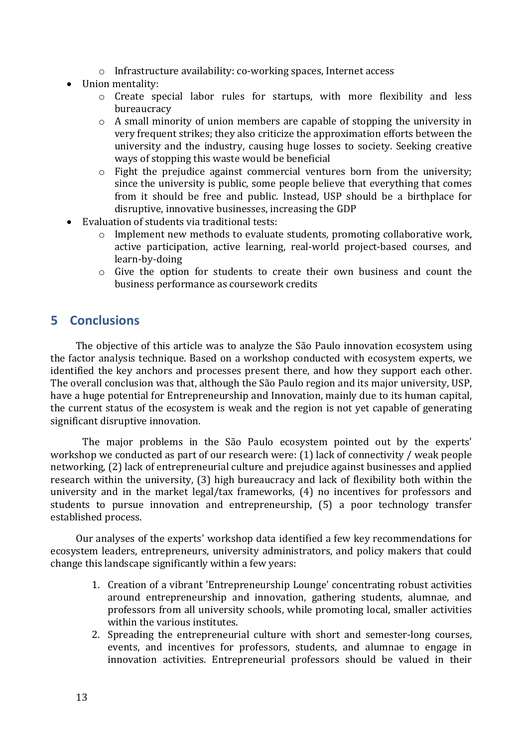- o Infrastructure availability: co-working spaces, Internet access
- Union mentality:
	- $\circ$  Create special labor rules for startups, with more flexibility and less bureaucracy
	- $\circ$  A small minority of union members are capable of stopping the university in very frequent strikes; they also criticize the approximation efforts between the university and the industry, causing huge losses to society. Seeking creative ways of stopping this waste would be beneficial
	- $\circ$  Fight the prejudice against commercial ventures born from the university; since the university is public, some people believe that everything that comes from it should be free and public. Instead, USP should be a birthplace for disruptive, innovative businesses, increasing the GDP
- Evaluation of students via traditional tests:
	- o Implement new methods to evaluate students, promoting collaborative work, active participation, active learning, real-world project-based courses, and learn-by-doing
	- $\circ$  Give the option for students to create their own business and count the business performance as coursework credits

# **5 Conclusions**

The objective of this article was to analyze the São Paulo innovation ecosystem using the factor analysis technique. Based on a workshop conducted with ecosystem experts, we identified the key anchors and processes present there, and how they support each other. The overall conclusion was that, although the São Paulo region and its major university, USP, have a huge potential for Entrepreneurship and Innovation, mainly due to its human capital, the current status of the ecosystem is weak and the region is not yet capable of generating significant disruptive innovation.

The major problems in the São Paulo ecosystem pointed out by the experts' workshop we conducted as part of our research were:  $(1)$  lack of connectivity / weak people networking, (2) lack of entrepreneurial culture and prejudice against businesses and applied research within the university, (3) high bureaucracy and lack of flexibility both within the university and in the market legal/tax frameworks, (4) no incentives for professors and students to pursue innovation and entrepreneurship, (5) a poor technology transfer established process.

Our analyses of the experts' workshop data identified a few key recommendations for ecosystem leaders, entrepreneurs, university administrators, and policy makers that could change this landscape significantly within a few years:

- 1. Creation of a vibrant 'Entrepreneurship Lounge' concentrating robust activities around entrepreneurship and innovation, gathering students, alumnae. and professors from all university schools, while promoting local, smaller activities within the various institutes.
- 2. Spreading the entrepreneurial culture with short and semester-long courses, events, and incentives for professors, students, and alumnae to engage in innovation activities. Entrepreneurial professors should be valued in their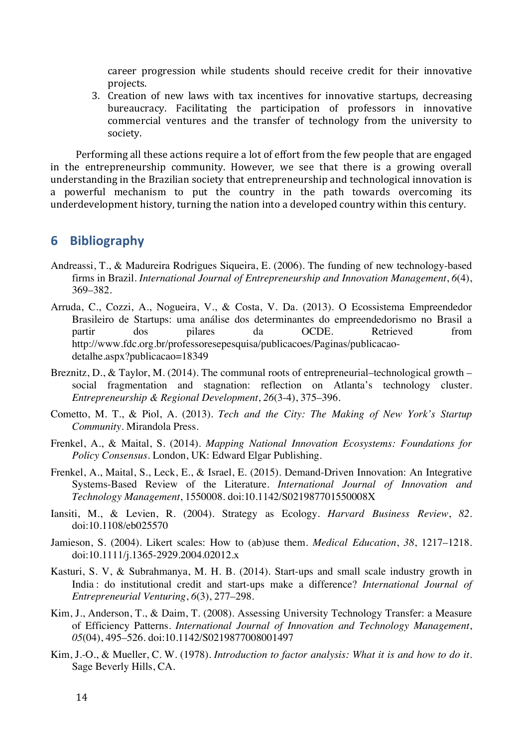career progression while students should receive credit for their innovative projects. 

3. Creation of new laws with tax incentives for innovative startups, decreasing bureaucracy. Facilitating the participation of professors in innovative commercial ventures and the transfer of technology from the university to society. 

Performing all these actions require a lot of effort from the few people that are engaged in the entrepreneurship community. However, we see that there is a growing overall understanding in the Brazilian society that entrepreneurship and technological innovation is a powerful mechanism to put the country in the path towards overcoming its underdevelopment history, turning the nation into a developed country within this century.

# **6 Bibliography**

- Andreassi, T., & Madureira Rodrigues Siqueira, E. (2006). The funding of new technology-based firms in Brazil. *International Journal of Entrepreneurship and Innovation Management*, *6*(4), 369–382.
- Arruda, C., Cozzi, A., Nogueira, V., & Costa, V. Da. (2013). O Ecossistema Empreendedor Brasileiro de Startups: uma análise dos determinantes do empreendedorismo no Brasil a partir dos pilares da OCDE. Retrieved from http://www.fdc.org.br/professoresepesquisa/publicacoes/Paginas/publicacaodetalhe.aspx?publicacao=18349
- Breznitz, D., & Taylor, M. (2014). The communal roots of entrepreneurial–technological growth social fragmentation and stagnation: reflection on Atlanta's technology cluster. *Entrepreneurship & Regional Development*, *26*(3-4), 375–396.
- Cometto, M. T., & Piol, A. (2013). *Tech and the City: The Making of New York's Startup Community*. Mirandola Press.
- Frenkel, A., & Maital, S. (2014). *Mapping National Innovation Ecosystems: Foundations for Policy Consensus*. London, UK: Edward Elgar Publishing.
- Frenkel, A., Maital, S., Leck, E., & Israel, E. (2015). Demand-Driven Innovation: An Integrative Systems-Based Review of the Literature. *International Journal of Innovation and Technology Management*, 1550008. doi:10.1142/S021987701550008X
- Iansiti, M., & Levien, R. (2004). Strategy as Ecology. *Harvard Business Review*, *82*. doi:10.1108/eb025570
- Jamieson, S. (2004). Likert scales: How to (ab)use them. *Medical Education*, *38*, 1217–1218. doi:10.1111/j.1365-2929.2004.02012.x
- Kasturi, S. V, & Subrahmanya, M. H. B. (2014). Start-ups and small scale industry growth in India : do institutional credit and start-ups make a difference? *International Journal of Entrepreneurial Venturing*, *6*(3), 277–298.
- Kim, J., Anderson, T., & Daim, T. (2008). Assessing University Technology Transfer: a Measure of Efficiency Patterns. *International Journal of Innovation and Technology Management*, *05*(04), 495–526. doi:10.1142/S0219877008001497
- Kim, J.-O., & Mueller, C. W. (1978). *Introduction to factor analysis: What it is and how to do it*. Sage Beverly Hills, CA.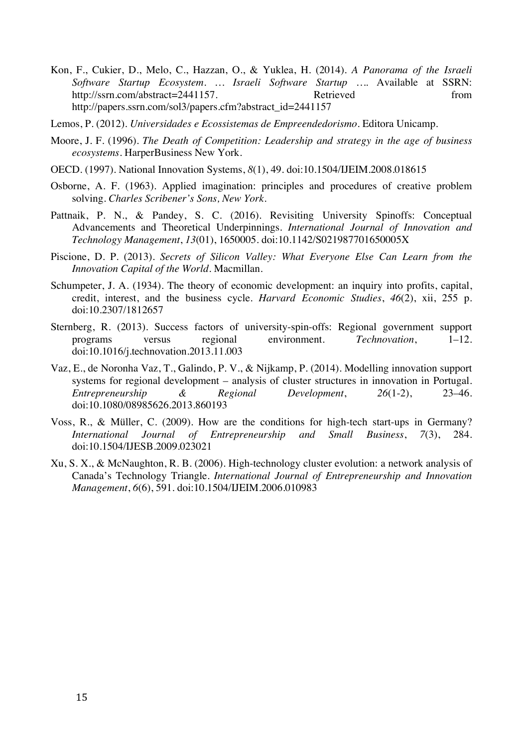- Kon, F., Cukier, D., Melo, C., Hazzan, O., & Yuklea, H. (2014). *A Panorama of the Israeli Software Startup Ecosystem*. *… Israeli Software Startup …*. Available at SSRN: http://ssrn.com/abstract=2441157. Retrieved from http://papers.ssrn.com/sol3/papers.cfm?abstract\_id=2441157
- Lemos, P. (2012). *Universidades e Ecossistemas de Empreendedorismo*. Editora Unicamp.
- Moore, J. F. (1996). *The Death of Competition: Leadership and strategy in the age of business ecosystems*. HarperBusiness New York.
- OECD. (1997). National Innovation Systems, *8*(1), 49. doi:10.1504/IJEIM.2008.018615
- Osborne, A. F. (1963). Applied imagination: principles and procedures of creative problem solving. *Charles Scribener's Sons, New York*.
- Pattnaik, P. N., & Pandey, S. C. (2016). Revisiting University Spinoffs: Conceptual Advancements and Theoretical Underpinnings. *International Journal of Innovation and Technology Management*, *13*(01), 1650005. doi:10.1142/S021987701650005X
- Piscione, D. P. (2013). *Secrets of Silicon Valley: What Everyone Else Can Learn from the Innovation Capital of the World*. Macmillan.
- Schumpeter, J. A. (1934). The theory of economic development: an inquiry into profits, capital, credit, interest, and the business cycle. *Harvard Economic Studies*, *46*(2), xii, 255 p. doi:10.2307/1812657
- Sternberg, R. (2013). Success factors of university-spin-offs: Regional government support programs versus regional environment. *Technovation*, 1–12. doi:10.1016/j.technovation.2013.11.003
- Vaz, E., de Noronha Vaz, T., Galindo, P. V., & Nijkamp, P. (2014). Modelling innovation support systems for regional development – analysis of cluster structures in innovation in Portugal. *Entrepreneurship & Regional Development*, *26*(1-2), 23–46. doi:10.1080/08985626.2013.860193
- Voss, R., & Müller, C. (2009). How are the conditions for high-tech start-ups in Germany? *International Journal of Entrepreneurship and Small Business*, *7*(3), 284. doi:10.1504/IJESB.2009.023021
- Xu, S. X., & McNaughton, R. B. (2006). High-technology cluster evolution: a network analysis of Canada's Technology Triangle. *International Journal of Entrepreneurship and Innovation Management*, *6*(6), 591. doi:10.1504/IJEIM.2006.010983